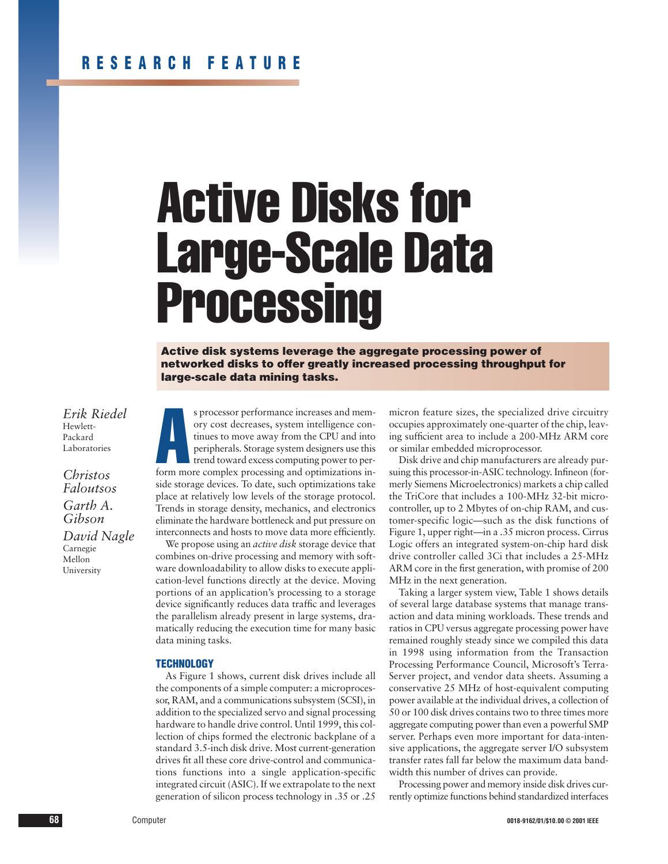# Active Disks for Large-Scale Data **Processing**

**Active disk systems leverage the aggregate processing power of networked disks to offer greatly increased processing throughput for large-scale data mining tasks.**

*Erik Riedel* Hewlett-Packard Laboratories

*Christos Faloutsos Garth A. Gibson David Nagle* Carnegie Mellon University

s processor performance increases and memory cost decreases, system intelligence continues to move away from the CPU and into peripherals. Storage system designers use this trend toward excess computing power to perform mo s processor performance increases and memory cost decreases, system intelligence continues to move away from the CPU and into peripherals. Storage system designers use this trend toward excess computing power to perside storage devices. To date, such optimizations take place at relatively low levels of the storage protocol. Trends in storage density, mechanics, and electronics eliminate the hardware bottleneck and put pressure on interconnects and hosts to move data more efficiently.

We propose using an *active disk* storage device that combines on-drive processing and memory with software downloadability to allow disks to execute application-level functions directly at the device. Moving portions of an application's processing to a storage device significantly reduces data traffic and leverages the parallelism already present in large systems, dramatically reducing the execution time for many basic data mining tasks.

# **TECHNOLOGY**

As Figure 1 shows, current disk drives include all the components of a simple computer: a microprocessor, RAM, and a communications subsystem (SCSI), in addition to the specialized servo and signal processing hardware to handle drive control. Until 1999, this collection of chips formed the electronic backplane of a standard 3.5-inch disk drive. Most current-generation drives fit all these core drive-control and communications functions into a single application-specific integrated circuit (ASIC). If we extrapolate to the next generation of silicon process technology in .35 or .25 micron feature sizes, the specialized drive circuitry occupies approximately one-quarter of the chip, leaving sufficient area to include a 200-MHz ARM core or similar embedded microprocessor.

Disk drive and chip manufacturers are already pursuing this processor-in-ASIC technology. Infineon (formerly Siemens Microelectronics) markets a chip called the TriCore that includes a 100-MHz 32-bit microcontroller, up to 2 Mbytes of on-chip RAM, and customer-specific logic—such as the disk functions of Figure 1, upper right—in a .35 micron process. Cirrus Logic offers an integrated system-on-chip hard disk drive controller called 3Ci that includes a 25-MHz ARM core in the first generation, with promise of 200 MHz in the next generation.

Taking a larger system view, Table 1 shows details of several large database systems that manage transaction and data mining workloads. These trends and ratios in CPU versus aggregate processing power have remained roughly steady since we compiled this data in 1998 using information from the Transaction Processing Performance Council, Microsoft's Terra-Server project, and vendor data sheets. Assuming a conservative 25 MHz of host-equivalent computing power available at the individual drives, a collection of 50 or 100 disk drives contains two to three times more aggregate computing power than even a powerful SMP server. Perhaps even more important for data-intensive applications, the aggregate server I/O subsystem transfer rates fall far below the maximum data bandwidth this number of drives can provide.

Processing power and memory inside disk drives currently optimize functions behind standardized interfaces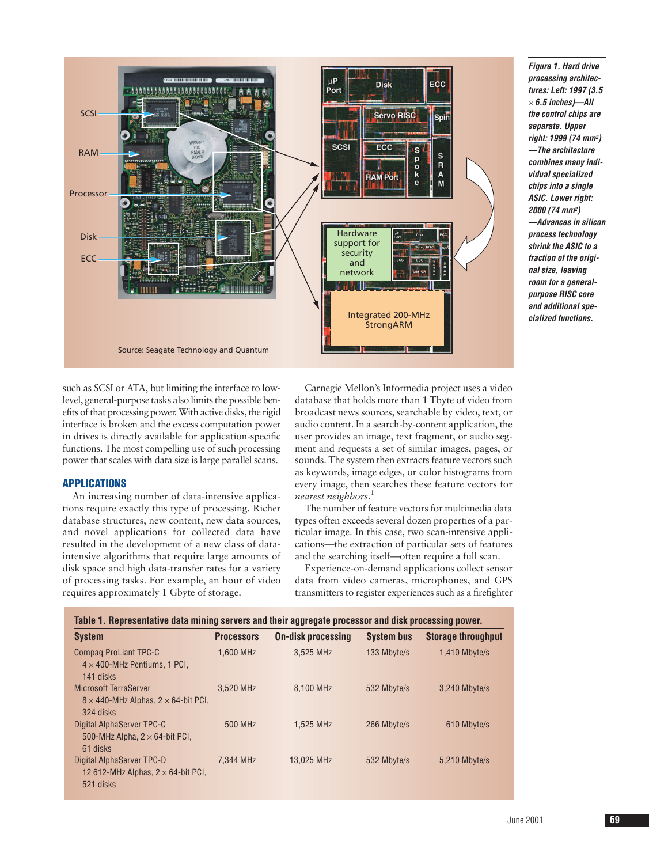

*Figure 1. Hard drive processing architectures: Left: 1997 (3.5*  $\times$ 6.5 inches)—All *the control chips are separate. Upper right: 1999 (74 mm2 ) —The architecture combines many individual specialized chips into a single ASIC. Lower right: 2000 (74 mm2 ) —Advances in silicon process technology shrink the ASIC to a fraction of the original size, leaving room for a generalpurpose RISC core and additional specialized functions.*

such as SCSI or ATA, but limiting the interface to lowlevel, general-purpose tasks also limits the possible benefits of that processing power. With active disks, the rigid interface is broken and the excess computation power in drives is directly available for application-specific functions. The most compelling use of such processing power that scales with data size is large parallel scans.

## **APPLICATIONS**

An increasing number of data-intensive applications require exactly this type of processing. Richer database structures, new content, new data sources, and novel applications for collected data have resulted in the development of a new class of dataintensive algorithms that require large amounts of disk space and high data-transfer rates for a variety of processing tasks. For example, an hour of video requires approximately 1 Gbyte of storage.

Carnegie Mellon's Informedia project uses a video database that holds more than 1 Tbyte of video from broadcast news sources, searchable by video, text, or audio content. In a search-by-content application, the user provides an image, text fragment, or audio segment and requests a set of similar images, pages, or sounds. The system then extracts feature vectors such as keywords, image edges, or color histograms from every image, then searches these feature vectors for *nearest neighbors*. 1

The number of feature vectors for multimedia data types often exceeds several dozen properties of a particular image. In this case, two scan-intensive applications—the extraction of particular sets of features and the searching itself—often require a full scan.

Experience-on-demand applications collect sensor data from video cameras, microphones, and GPS transmitters to register experiences such as a firefighter

| Table 1. Representative data mining servers and their aggregate processor and disk processing power. |                   |                           |                   |                           |
|------------------------------------------------------------------------------------------------------|-------------------|---------------------------|-------------------|---------------------------|
| <b>System</b>                                                                                        | <b>Processors</b> | <b>On-disk processing</b> | <b>System bus</b> | <b>Storage throughput</b> |
| <b>Compag ProLiant TPC-C</b><br>$4 \times 400$ -MHz Pentiums, 1 PCI.<br>141 disks                    | 1.600 MHz         | 3.525 MHz                 | 133 Mbyte/s       | $1,410$ Mbyte/s           |
| <b>Microsoft TerraServer</b><br>$8 \times 440$ -MHz Alphas, $2 \times 64$ -bit PCI,<br>324 disks     | 3.520 MHz         | 8.100 MHz                 | 532 Mbyte/s       | 3,240 Mbyte/s             |
| Digital AlphaServer TPC-C<br>500-MHz Alpha, $2 \times 64$ -bit PCI.<br>61 disks                      | 500 MHz           | 1,525 MHz                 | 266 Mbyte/s       | 610 Mbyte/s               |
| Digital AlphaServer TPC-D<br>12 612-MHz Alphas, $2 \times 64$ -bit PCI,<br>521 disks                 | 7.344 MHz         | 13.025 MHz                | 532 Mbyte/s       | 5,210 Mbyte/s             |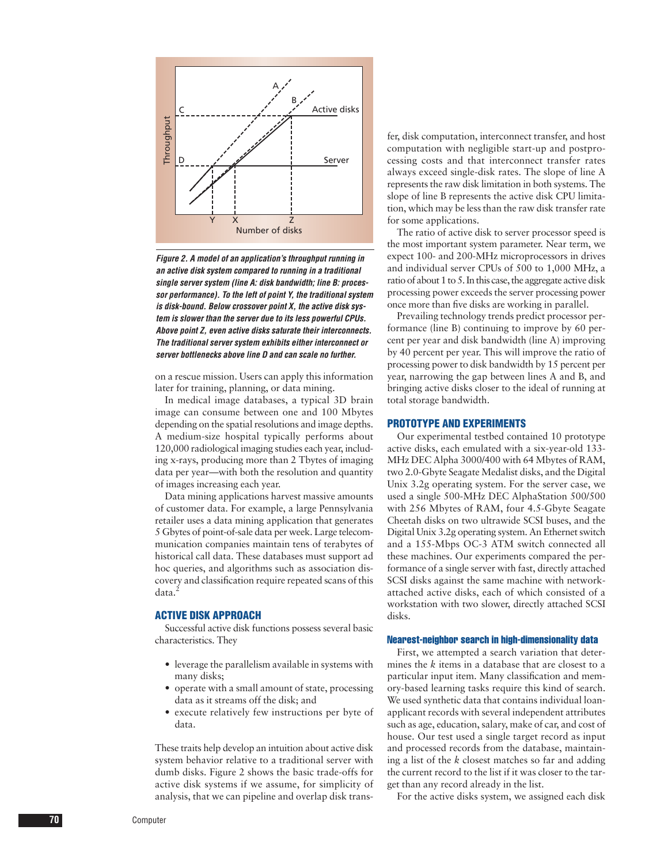

*Figure 2. A model of an application's throughput running in an active disk system compared to running in a traditional single server system (line A: disk bandwidth; line B: processor performance). To the left of point Y, the traditional system is disk-bound. Below crossover point X, the active disk system is slower than the server due to its less powerful CPUs. Above point Z, even active disks saturate their interconnects. The traditional server system exhibits either interconnect or server bottlenecks above line D and can scale no further.*

on a rescue mission. Users can apply this information later for training, planning, or data mining.

In medical image databases, a typical 3D brain image can consume between one and 100 Mbytes depending on the spatial resolutions and image depths. A medium-size hospital typically performs about 120,000 radiological imaging studies each year, including x-rays, producing more than 2 Tbytes of imaging data per year—with both the resolution and quantity of images increasing each year.

Data mining applications harvest massive amounts of customer data. For example, a large Pennsylvania retailer uses a data mining application that generates 5 Gbytes of point-of-sale data per week. Large telecommunication companies maintain tens of terabytes of historical call data. These databases must support ad hoc queries, and algorithms such as association discovery and classification require repeated scans of this  $data.<sup>2</sup>$ 

## **ACTIVE DISK APPROACH**

Successful active disk functions possess several basic characteristics. They

- leverage the parallelism available in systems with many disks;
- operate with a small amount of state, processing data as it streams off the disk; and
- execute relatively few instructions per byte of data.

These traits help develop an intuition about active disk system behavior relative to a traditional server with dumb disks. Figure 2 shows the basic trade-offs for active disk systems if we assume, for simplicity of analysis, that we can pipeline and overlap disk transfer, disk computation, interconnect transfer, and host computation with negligible start-up and postprocessing costs and that interconnect transfer rates always exceed single-disk rates. The slope of line A represents the raw disk limitation in both systems. The slope of line B represents the active disk CPU limitation, which may be less than the raw disk transfer rate for some applications.

The ratio of active disk to server processor speed is the most important system parameter. Near term, we expect 100- and 200-MHz microprocessors in drives and individual server CPUs of 500 to 1,000 MHz, a ratio of about 1 to 5. In this case, the aggregate active disk processing power exceeds the server processing power once more than five disks are working in parallel.

Prevailing technology trends predict processor performance (line B) continuing to improve by 60 percent per year and disk bandwidth (line A) improving by 40 percent per year. This will improve the ratio of processing power to disk bandwidth by 15 percent per year, narrowing the gap between lines A and B, and bringing active disks closer to the ideal of running at total storage bandwidth.

## **PROTOTYPE AND EXPERIMENTS**

Our experimental testbed contained 10 prototype active disks, each emulated with a six-year-old 133- MHz DEC Alpha 3000/400 with 64 Mbytes of RAM, two 2.0-Gbyte Seagate Medalist disks, and the Digital Unix 3.2g operating system. For the server case, we used a single 500-MHz DEC AlphaStation 500/500 with 256 Mbytes of RAM, four 4.5-Gbyte Seagate Cheetah disks on two ultrawide SCSI buses, and the Digital Unix 3.2g operating system. An Ethernet switch and a 155-Mbps OC-3 ATM switch connected all these machines. Our experiments compared the performance of a single server with fast, directly attached SCSI disks against the same machine with networkattached active disks, each of which consisted of a workstation with two slower, directly attached SCSI disks.

#### Nearest-neighbor search in high-dimensionality data

First, we attempted a search variation that determines the *k* items in a database that are closest to a particular input item. Many classification and memory-based learning tasks require this kind of search. We used synthetic data that contains individual loanapplicant records with several independent attributes such as age, education, salary, make of car, and cost of house. Our test used a single target record as input and processed records from the database, maintaining a list of the *k* closest matches so far and adding the current record to the list if it was closer to the target than any record already in the list.

For the active disks system, we assigned each disk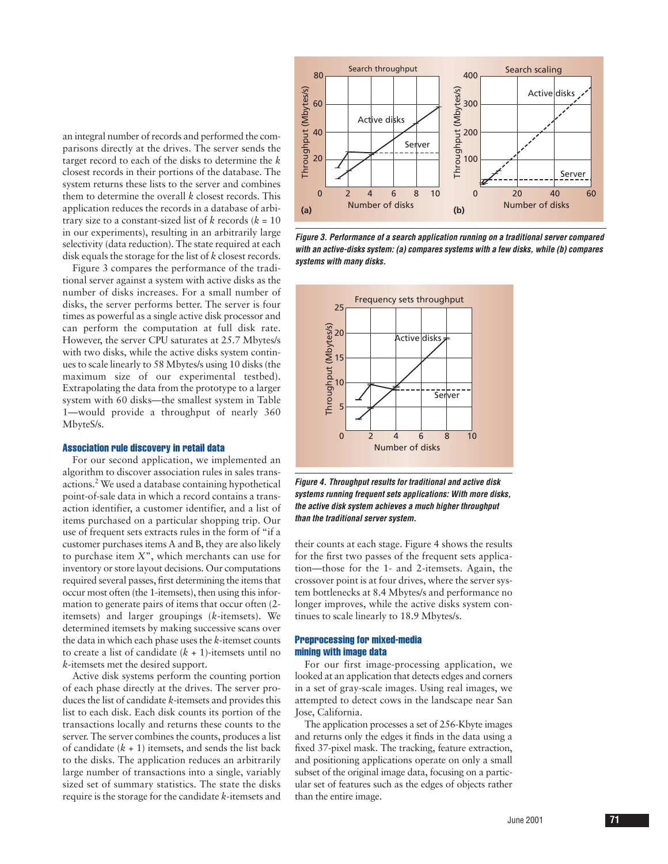an integral number of records and performed the comparisons directly at the drives. The server sends the target record to each of the disks to determine the *k* closest records in their portions of the database. The system returns these lists to the server and combines them to determine the overall *k* closest records. This application reduces the records in a database of arbitrary size to a constant-sized list of  $k$  records ( $k = 10$ in our experiments), resulting in an arbitrarily large selectivity (data reduction). The state required at each disk equals the storage for the list of *k* closest records.

Figure 3 compares the performance of the traditional server against a system with active disks as the number of disks increases. For a small number of disks, the server performs better. The server is four times as powerful as a single active disk processor and can perform the computation at full disk rate. However, the server CPU saturates at 25.7 Mbytes/s with two disks, while the active disks system continues to scale linearly to 58 Mbytes/s using 10 disks (the maximum size of our experimental testbed). Extrapolating the data from the prototype to a larger system with 60 disks—the smallest system in Table 1—would provide a throughput of nearly 360 MbyteS/s.

#### Association rule discovery in retail data

For our second application, we implemented an algorithm to discover association rules in sales transactions.2 We used a database containing hypothetical point-of-sale data in which a record contains a transaction identifier, a customer identifier, and a list of items purchased on a particular shopping trip. Our use of frequent sets extracts rules in the form of "if a customer purchases items A and B, they are also likely to purchase item *X*", which merchants can use for inventory or store layout decisions. Our computations required several passes, first determining the items that occur most often (the 1-itemsets), then using this information to generate pairs of items that occur often (2 itemsets) and larger groupings (*k*-itemsets). We determined itemsets by making successive scans over the data in which each phase uses the *k*-itemset counts to create a list of candidate  $(k + 1)$ -itemsets until no *k*-itemsets met the desired support.

Active disk systems perform the counting portion of each phase directly at the drives. The server produces the list of candidate *k*-itemsets and provides this list to each disk. Each disk counts its portion of the transactions locally and returns these counts to the server. The server combines the counts, produces a list of candidate  $(k + 1)$  itemsets, and sends the list back to the disks. The application reduces an arbitrarily large number of transactions into a single, variably sized set of summary statistics. The state the disks require is the storage for the candidate *k*-itemsets and



*Figure 3. Performance of a search application running on a traditional server compared with an active-disks system: (a) compares systems with a few disks, while (b) compares systems with many disks.*



*Figure 4. Throughput results for traditional and active disk systems running frequent sets applications: With more disks, the active disk system achieves a much higher throughput than the traditional server system.*

their counts at each stage. Figure 4 shows the results for the first two passes of the frequent sets application—those for the 1- and 2-itemsets. Again, the crossover point is at four drives, where the server system bottlenecks at 8.4 Mbytes/s and performance no longer improves, while the active disks system continues to scale linearly to 18.9 Mbytes/s.

## Preprocessing for mixed-media mining with image data

For our first image-processing application, we looked at an application that detects edges and corners in a set of gray-scale images. Using real images, we attempted to detect cows in the landscape near San Jose, California.

The application processes a set of 256-Kbyte images and returns only the edges it finds in the data using a fixed 37-pixel mask. The tracking, feature extraction, and positioning applications operate on only a small subset of the original image data, focusing on a particular set of features such as the edges of objects rather than the entire image.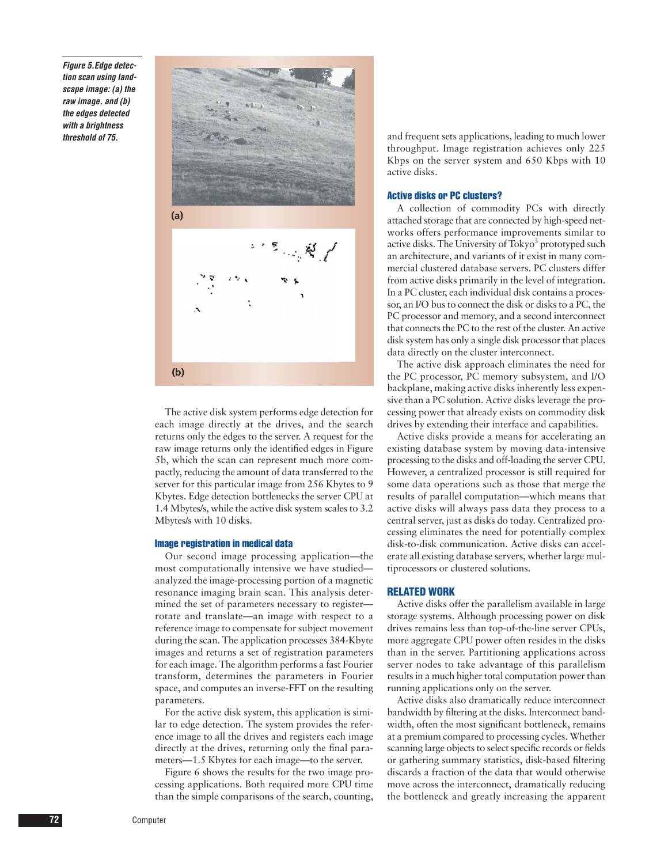*Figure 5.Edge detection scan using landscape image: (a) the raw image, and (b) the edges detected with a brightness threshold of 75.*



The active disk system performs edge detection for each image directly at the drives, and the search returns only the edges to the server. A request for the raw image returns only the identified edges in Figure 5b, which the scan can represent much more compactly, reducing the amount of data transferred to the server for this particular image from 256 Kbytes to 9 Kbytes. Edge detection bottlenecks the server CPU at 1.4 Mbytes/s, while the active disk system scales to 3.2 Mbytes/s with 10 disks.

#### Image registration in medical data

Our second image processing application—the most computationally intensive we have studied analyzed the image-processing portion of a magnetic resonance imaging brain scan. This analysis determined the set of parameters necessary to register rotate and translate—an image with respect to a reference image to compensate for subject movement during the scan. The application processes 384-Kbyte images and returns a set of registration parameters for each image. The algorithm performs a fast Fourier transform, determines the parameters in Fourier space, and computes an inverse-FFT on the resulting parameters.

For the active disk system, this application is similar to edge detection. The system provides the reference image to all the drives and registers each image directly at the drives, returning only the final parameters—1.5 Kbytes for each image—to the server.

Figure 6 shows the results for the two image processing applications. Both required more CPU time than the simple comparisons of the search, counting, and frequent sets applications, leading to much lower throughput. Image registration achieves only 225 Kbps on the server system and 650 Kbps with 10 active disks.

#### Active disks or PC clusters?

A collection of commodity PCs with directly attached storage that are connected by high-speed networks offers performance improvements similar to active disks. The University of  $Tokyo<sup>3</sup>$  prototyped such an architecture, and variants of it exist in many commercial clustered database servers. PC clusters differ from active disks primarily in the level of integration. In a PC cluster, each individual disk contains a processor, an I/O bus to connect the disk or disks to a PC, the PC processor and memory, and a second interconnect that connects the PC to the rest of the cluster. An active disk system has only a single disk processor that places data directly on the cluster interconnect.

The active disk approach eliminates the need for the PC processor, PC memory subsystem, and I/O backplane, making active disks inherently less expensive than a PC solution. Active disks leverage the processing power that already exists on commodity disk drives by extending their interface and capabilities.

Active disks provide a means for accelerating an existing database system by moving data-intensive processing to the disks and off-loading the server CPU. However, a centralized processor is still required for some data operations such as those that merge the results of parallel computation—which means that active disks will always pass data they process to a central server, just as disks do today. Centralized processing eliminates the need for potentially complex disk-to-disk communication. Active disks can accelerate all existing database servers, whether large multiprocessors or clustered solutions.

#### **RELATED WORK**

Active disks offer the parallelism available in large storage systems. Although processing power on disk drives remains less than top-of-the-line server CPUs, more aggregate CPU power often resides in the disks than in the server. Partitioning applications across server nodes to take advantage of this parallelism results in a much higher total computation power than running applications only on the server.

Active disks also dramatically reduce interconnect bandwidth by filtering at the disks. Interconnect bandwidth, often the most significant bottleneck, remains at a premium compared to processing cycles. Whether scanning large objects to select specific records or fields or gathering summary statistics, disk-based filtering discards a fraction of the data that would otherwise move across the interconnect, dramatically reducing the bottleneck and greatly increasing the apparent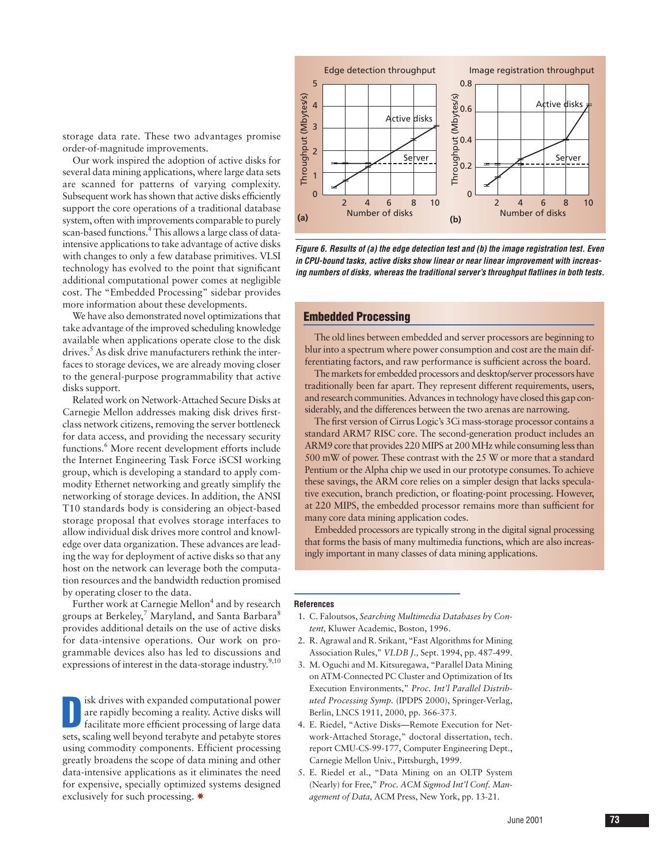storage data rate. These two advantages promise order-of-magnitude improvements.

Our work inspired the adoption of active disks for several data mining applications, where large data sets are scanned for patterns of varying complexity. Subsequent work has shown that active disks efficiently support the core operations of a traditional database system, often with improvements comparable to purely scan-based functions.<sup>4</sup> This allows a large class of dataintensive applications to take advantage of active disks with changes to only a few database primitives. VLSI technology has evolved to the point that significant additional computational power comes at negligible cost. The "Embedded Processing" sidebar provides more information about these developments.

We have also demonstrated novel optimizations that take advantage of the improved scheduling knowledge available when applications operate close to the disk drives.<sup>5</sup> As disk drive manufacturers rethink the interfaces to storage devices, we are already moving closer to the general-purpose programmability that active disks support.

Related work on Network-Attached Secure Disks at Carnegie Mellon addresses making disk drives firstclass network citizens, removing the server bottleneck for data access, and providing the necessary security functions.<sup>6</sup> More recent development efforts include the Internet Engineering Task Force iSCSI working group, which is developing a standard to apply commodity Ethernet networking and greatly simplify the networking of storage devices. In addition, the ANSI T10 standards body is considering an object-based storage proposal that evolves storage interfaces to allow individual disk drives more control and knowledge over data organization. These advances are leading the way for deployment of active disks so that any host on the network can leverage both the computation resources and the bandwidth reduction promised by operating closer to the data.

Further work at Carnegie Mellon<sup>4</sup> and by research groups at Berkeley,<sup>7</sup> Maryland, and Santa Barbara<sup>8</sup> provides additional details on the use of active disks for data-intensive operations. Our work on programmable devices also has led to discussions and expressions of interest in the data-storage industry.<sup>9,10</sup>

D isk drives with expanded computational power are rapidly becoming a reality. Active disks will facilitate more efficient processing of large data sets, scaling well beyond terabyte and petabyte stores using commodity components. Efficient processing greatly broadens the scope of data mining and other data-intensive applications as it eliminates the need for expensive, specially optimized systems designed exclusively for such processing. ✸



*Figure 6. Results of (a) the edge detection test and (b) the image registration test. Even in CPU-bound tasks, active disks show linear or near linear improvement with increasing numbers of disks, whereas the traditional server's throughput flatlines in both tests.*

### **Embedded Processing**

The old lines between embedded and server processors are beginning to blur into a spectrum where power consumption and cost are the main differentiating factors, and raw performance is sufficient across the board.

The markets for embedded processors and desktop/server processors have traditionally been far apart. They represent different requirements, users, and research communities. Advances in technology have closed this gap considerably, and the differences between the two arenas are narrowing.

The first version of Cirrus Logic's 3Ci mass-storage processor contains a standard ARM7 RISC core. The second-generation product includes an ARM9 core that provides 220 MIPS at 200 MHz while consuming less than 500 mW of power. These contrast with the 25 W or more that a standard Pentium or the Alpha chip we used in our prototype consumes. To achieve these savings, the ARM core relies on a simpler design that lacks speculative execution, branch prediction, or floating-point processing. However, at 220 MIPS, the embedded processor remains more than sufficient for many core data mining application codes.

Embedded processors are typically strong in the digital signal processing that forms the basis of many multimedia functions, which are also increasingly important in many classes of data mining applications.

## **References**

- 1. C. Faloutsos, *Searching Multimedia Databases by Content,* Kluwer Academic, Boston, 1996.
- 2. R. Agrawal and R. Srikant, "Fast Algorithms for Mining Association Rules,'' *VLDB J.,* Sept. 1994, pp. 487-499.
- 3. M. Oguchi and M. Kitsuregawa, "Parallel Data Mining on ATM-Connected PC Cluster and Optimization of Its Execution Environments," *Proc. Int'l Parallel Distributed Processing Symp.* (IPDPS 2000), Springer-Verlag, Berlin, LNCS 1911, 2000, pp. 366-373.
- 4. E. Riedel, "Active Disks—Remote Execution for Network-Attached Storage," doctoral dissertation, tech. report CMU-CS-99-177, Computer Engineering Dept., Carnegie Mellon Univ., Pittsburgh, 1999.
- 5. E. Riedel et al., "Data Mining on an OLTP System (Nearly) for Free," *Proc. ACM Sigmod Int'l Conf. Management of Data,* ACM Press, New York, pp. 13-21.